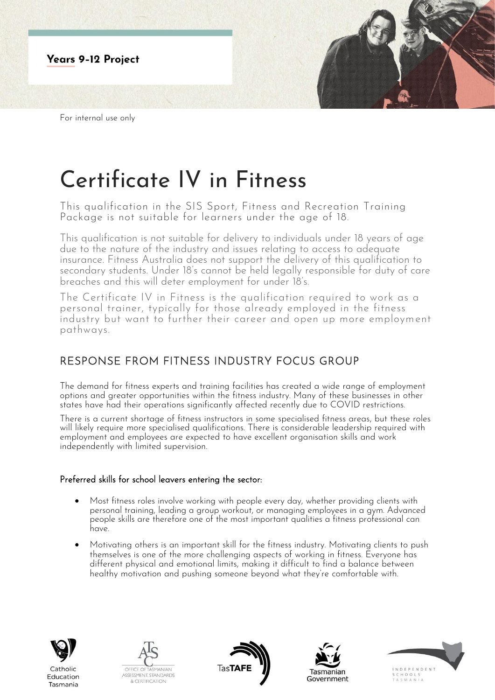

# Certificate IV in Fitness

This qualification in the SIS Sport, Fitness and Recreation Training Package is not suitable for learners under the age of 18.

This qualification is not suitable for delivery to individuals under 18 years of age due to the nature of the industry and issues relating to access to adequate insurance. Fitness Australia does not support the delivery of this qualification to secondary students. Under 18's cannot be held legally responsible for duty of care breaches and this will deter employment for under 18's.

The Certificate IV in Fitness is the qualification required to work as a personal trainer, typically for those already employed in the fitness industry but want to further their career and open up more employment pathways.

# RESPONSE FROM FITNESS INDUSTRY FOCUS GROUP

The demand for fitness experts and training facilities has created a wide range of employment options and greater opportunities within the fitness industry. Many of these businesses in other states have had their operations significantly affected recently due to COVID restrictions.

There is a current shortage of fitness instructors in some specialised fitness areas, but these roles will likely require more specialised qualifications. There is considerable leadership required with employment and employees are expected to have excellent organisation skills and work independently with limited supervision.

## Preferred skills for school leavers entering the sector:

- Most fitness roles involve working with people every day, whether providing clients with personal training, leading a group workout, or managing employees in a gym. Advanced people skills are therefore one of the most important qualities a fitness professional can have.
- Motivating others is an important skill for the fitness industry. Motivating clients to push themselves is one of the more challenging aspects of working in fitness. Everyone has different physical and emotional limits, making it difficult to find a balance between healthy motivation and pushing someone beyond what they're comfortable with.



Tasmania